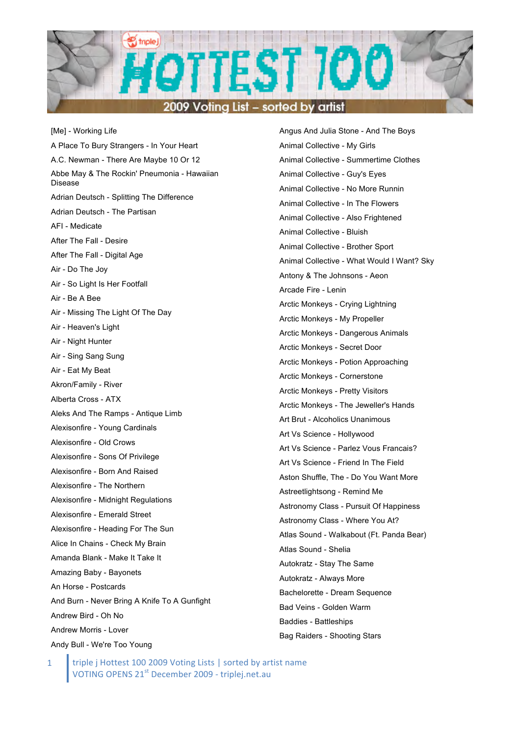

[Me] - Working Life A Place To Bury Strangers - In Your Heart A.C. Newman - There Are Maybe 10 Or 12 Abbe May & The Rockin' Pneumonia - Hawaiian Disease Adrian Deutsch - Splitting The Difference Adrian Deutsch - The Partisan AFI - Medicate After The Fall - Desire After The Fall - Digital Age Air - Do The Joy Air - So Light Is Her Footfall Air - Be A Bee Air - Missing The Light Of The Day Air - Heaven's Light Air - Night Hunter Air - Sing Sang Sung Air - Eat My Beat Akron/Family - River Alberta Cross - ATX Aleks And The Ramps - Antique Limb Alexisonfire - Young Cardinals Alexisonfire - Old Crows Alexisonfire - Sons Of Privilege Alexisonfire - Born And Raised Alexisonfire - The Northern Alexisonfire - Midnight Regulations Alexisonfire - Emerald Street Alexisonfire - Heading For The Sun Alice In Chains - Check My Brain Amanda Blank - Make It Take It Amazing Baby - Bayonets An Horse - Postcards And Burn - Never Bring A Knife To A Gunfight Andrew Bird - Oh No Andrew Morris - Lover Andy Bull - We're Too Young

Angus And Julia Stone - And The Boys Animal Collective - My Girls Animal Collective - Summertime Clothes Animal Collective - Guy's Eyes Animal Collective - No More Runnin Animal Collective - In The Flowers Animal Collective - Also Frightened Animal Collective - Bluish Animal Collective - Brother Sport Animal Collective - What Would I Want? Sky Antony & The Johnsons - Aeon Arcade Fire - Lenin Arctic Monkeys - Crying Lightning Arctic Monkeys - My Propeller Arctic Monkeys - Dangerous Animals Arctic Monkeys - Secret Door Arctic Monkeys - Potion Approaching Arctic Monkeys - Cornerstone Arctic Monkeys - Pretty Visitors Arctic Monkeys - The Jeweller's Hands Art Brut - Alcoholics Unanimous Art Vs Science - Hollywood Art Vs Science - Parlez Vous Francais? Art Vs Science - Friend In The Field Aston Shuffle, The - Do You Want More Astreetlightsong - Remind Me Astronomy Class - Pursuit Of Happiness Astronomy Class - Where You At? Atlas Sound - Walkabout (Ft. Panda Bear) Atlas Sound - Shelia Autokratz - Stay The Same Autokratz - Always More Bachelorette - Dream Sequence Bad Veins - Golden Warm Baddies - Battleships Bag Raiders - Shooting Stars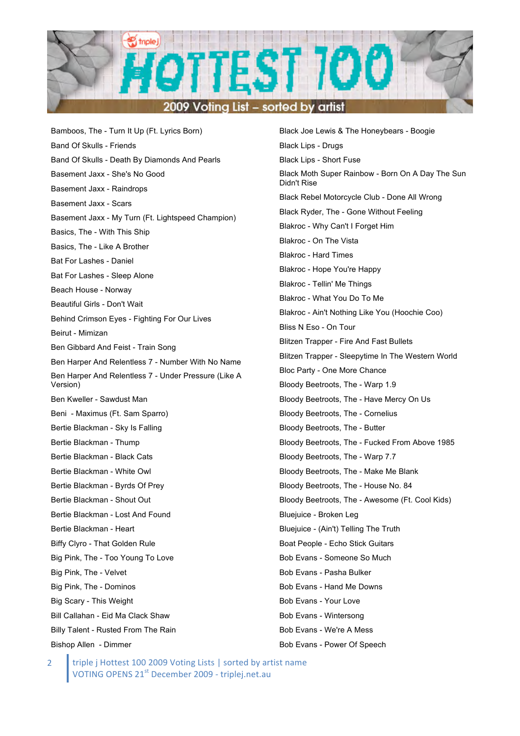

Bamboos, The - Turn It Up (Ft. Lyrics Born) Band Of Skulls - Friends Band Of Skulls - Death By Diamonds And Pearls Basement Jaxx - She's No Good Basement Jaxx - Raindrops Basement Jaxx - Scars Basement Jaxx - My Turn (Ft. Lightspeed Champion) Basics, The - With This Ship Basics, The - Like A Brother Bat For Lashes - Daniel Bat For Lashes - Sleep Alone Beach House - Norway Beautiful Girls - Don't Wait Behind Crimson Eyes - Fighting For Our Lives Beirut - Mimizan Ben Gibbard And Feist - Train Song Ben Harper And Relentless 7 - Number With No Name Ben Harper And Relentless 7 - Under Pressure (Like A Version) Ben Kweller - Sawdust Man Beni - Maximus (Ft. Sam Sparro) Bertie Blackman - Sky Is Falling Bertie Blackman - Thump Bertie Blackman - Black Cats Bertie Blackman - White Owl Bertie Blackman - Byrds Of Prey Bertie Blackman - Shout Out Bertie Blackman - Lost And Found Bertie Blackman - Heart Biffy Clyro - That Golden Rule Big Pink, The - Too Young To Love Big Pink, The - Velvet Big Pink, The - Dominos Big Scary - This Weight Bill Callahan - Eid Ma Clack Shaw Billy Talent - Rusted From The Rain Bishop Allen - Dimmer

Black Joe Lewis & The Honeybears - Boogie Black Lips - Drugs Black Lips - Short Fuse Black Moth Super Rainbow - Born On A Day The Sun Didn't Rise Black Rebel Motorcycle Club - Done All Wrong Black Ryder, The - Gone Without Feeling Blakroc - Why Can't I Forget Him Blakroc - On The Vista Blakroc - Hard Times Blakroc - Hope You're Happy Blakroc - Tellin' Me Things Blakroc - What You Do To Me Blakroc - Ain't Nothing Like You (Hoochie Coo) Bliss N Eso - On Tour Blitzen Trapper - Fire And Fast Bullets Blitzen Trapper - Sleepytime In The Western World Bloc Party - One More Chance Bloody Beetroots, The - Warp 1.9 Bloody Beetroots, The - Have Mercy On Us Bloody Beetroots, The - Cornelius Bloody Beetroots, The - Butter Bloody Beetroots, The - Fucked From Above 1985 Bloody Beetroots, The - Warp 7.7 Bloody Beetroots, The - Make Me Blank Bloody Beetroots, The - House No. 84 Bloody Beetroots, The - Awesome (Ft. Cool Kids) Bluejuice - Broken Leg Bluejuice - (Ain't) Telling The Truth Boat People - Echo Stick Guitars Bob Evans - Someone So Much Bob Evans - Pasha Bulker Bob Evans - Hand Me Downs Bob Evans - Your Love Bob Evans - Wintersong Bob Evans - We're A Mess Bob Evans - Power Of Speech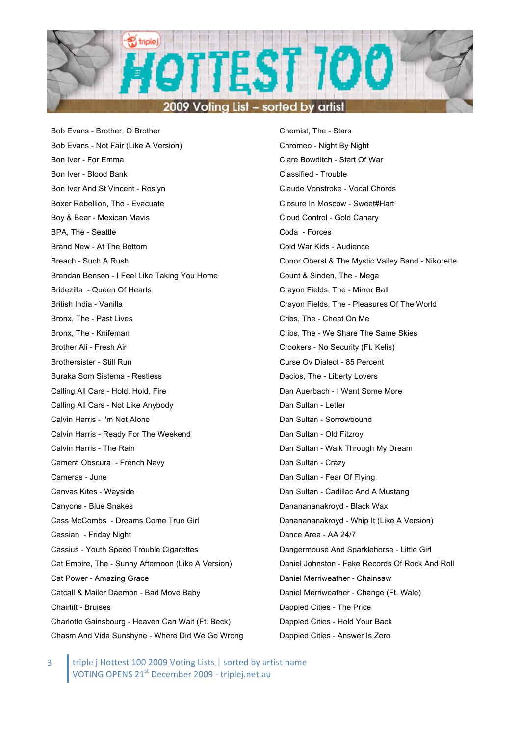

Bob Evans - Brother, O Brother Bob Evans - Not Fair (Like A Version) Bon Iver - For Emma Bon Iver - Blood Bank Bon Iver And St Vincent - Roslyn Boxer Rebellion, The - Evacuate Boy & Bear - Mexican Mavis BPA, The - Seattle Brand New - At The Bottom Breach - Such A Rush Brendan Benson - I Feel Like Taking You Home Bridezilla - Queen Of Hearts British India - Vanilla Bronx, The - Past Lives Bronx, The - Knifeman Brother Ali - Fresh Air Brothersister - Still Run Buraka Som Sistema - Restless Calling All Cars - Hold, Hold, Fire Calling All Cars - Not Like Anybody Calvin Harris - I'm Not Alone Calvin Harris - Ready For The Weekend Calvin Harris - The Rain Camera Obscura - French Navy Cameras - June Canvas Kites - Wayside Canyons - Blue Snakes Cass McCombs - Dreams Come True Girl Cassian - Friday Night Cassius - Youth Speed Trouble Cigarettes Cat Empire, The - Sunny Afternoon (Like A Version) Cat Power - Amazing Grace Catcall & Mailer Daemon - Bad Move Baby Chairlift - Bruises Charlotte Gainsbourg - Heaven Can Wait (Ft. Beck) Chasm And Vida Sunshyne - Where Did We Go Wrong Chemist, The - Stars Chromeo - Night By Night Clare Bowditch - Start Of War Classified - Trouble Claude Vonstroke - Vocal Chords Closure In Moscow - Sweet#Hart Cloud Control - Gold Canary Coda - Forces Cold War Kids - Audience Conor Oberst & The Mystic Valley Band - Nikorette Count & Sinden, The - Mega Crayon Fields, The - Mirror Ball Crayon Fields, The - Pleasures Of The World Cribs, The - Cheat On Me Cribs, The - We Share The Same Skies Crookers - No Security (Ft. Kelis) Curse Ov Dialect - 85 Percent Dacios, The - Liberty Lovers Dan Auerbach - I Want Some More Dan Sultan - Letter Dan Sultan - Sorrowbound Dan Sultan - Old Fitzroy Dan Sultan - Walk Through My Dream Dan Sultan - Crazy Dan Sultan - Fear Of Flying Dan Sultan - Cadillac And A Mustang Dananananakroyd - Black Wax Dananananakroyd - Whip It (Like A Version) Dance Area - AA 24/7 Dangermouse And Sparklehorse - Little Girl Daniel Johnston - Fake Records Of Rock And Roll Daniel Merriweather - Chainsaw Daniel Merriweather - Change (Ft. Wale) Dappled Cities - The Price Dappled Cities - Hold Your Back Dappled Cities - Answer Is Zero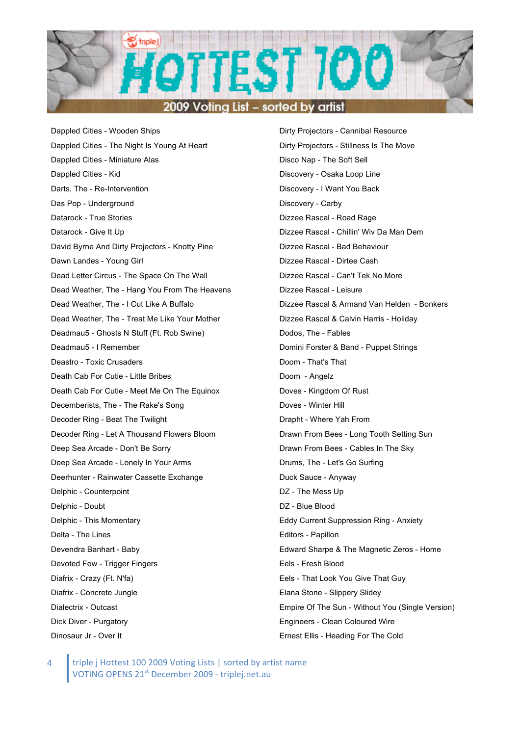

Dappled Cities - Wooden Ships Dappled Cities - The Night Is Young At Heart Dappled Cities - Miniature Alas Dappled Cities - Kid Darts, The - Re-Intervention Das Pop - Underground Datarock - True Stories Datarock - Give It Up David Byrne And Dirty Projectors - Knotty Pine Dawn Landes - Young Girl Dead Letter Circus - The Space On The Wall Dead Weather, The - Hang You From The Heavens Dead Weather, The - I Cut Like A Buffalo Dead Weather, The - Treat Me Like Your Mother Deadmau5 - Ghosts N Stuff (Ft. Rob Swine) Deadmau5 - I Remember Deastro - Toxic Crusaders Death Cab For Cutie - Little Bribes Death Cab For Cutie - Meet Me On The Equinox Decemberists, The - The Rake's Song Decoder Ring - Beat The Twilight Decoder Ring - Let A Thousand Flowers Bloom Deep Sea Arcade - Don't Be Sorry Deep Sea Arcade - Lonely In Your Arms Deerhunter - Rainwater Cassette Exchange Delphic - Counterpoint Delphic - Doubt Delphic - This Momentary Delta - The Lines Devendra Banhart - Baby Devoted Few - Trigger Fingers Diafrix - Crazy (Ft. N'fa) Diafrix - Concrete Jungle Dialectrix - Outcast Dick Diver - Purgatory Dinosaur Jr - Over It

Dirty Projectors - Cannibal Resource Dirty Projectors - Stillness Is The Move Disco Nap - The Soft Sell Discovery - Osaka Loop Line Discovery - I Want You Back Discovery - Carby Dizzee Rascal - Road Rage Dizzee Rascal - Chillin' Wiv Da Man Dem Dizzee Rascal - Bad Behaviour Dizzee Rascal - Dirtee Cash Dizzee Rascal - Can't Tek No More Dizzee Rascal - Leisure Dizzee Rascal & Armand Van Helden - Bonkers Dizzee Rascal & Calvin Harris - Holiday Dodos, The - Fables Domini Forster & Band - Puppet Strings Doom - That's That Doom - Angelz Doves - Kingdom Of Rust Doves - Winter Hill Drapht - Where Yah From Drawn From Bees - Long Tooth Setting Sun Drawn From Bees - Cables In The Sky Drums, The - Let's Go Surfing Duck Sauce - Anyway DZ - The Mess Up DZ - Blue Blood Eddy Current Suppression Ring - Anxiety Editors - Papillon Edward Sharpe & The Magnetic Zeros - Home Eels - Fresh Blood Eels - That Look You Give That Guy Elana Stone - Slippery Slidey Empire Of The Sun - Without You (Single Version) Engineers - Clean Coloured Wire Ernest Ellis - Heading For The Cold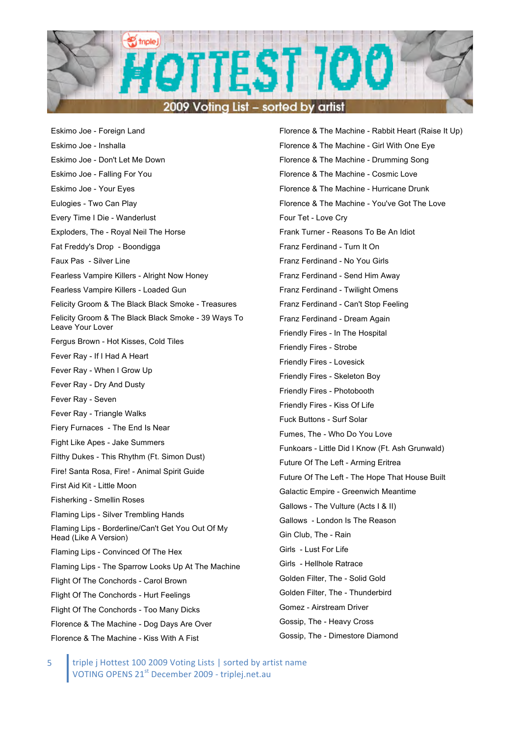

Eskimo Joe - Foreign Land Eskimo Joe - Inshalla Eskimo Joe - Don't Let Me Down Eskimo Joe - Falling For You Eskimo Joe - Your Eyes Eulogies - Two Can Play Every Time I Die - Wanderlust Exploders, The - Royal Neil The Horse Fat Freddy's Drop - Boondigga Faux Pas - Silver Line Fearless Vampire Killers - Alright Now Honey Fearless Vampire Killers - Loaded Gun Felicity Groom & The Black Black Smoke - Treasures Felicity Groom & The Black Black Smoke - 39 Ways To Leave Your Lover Fergus Brown - Hot Kisses, Cold Tiles Fever Ray - If I Had A Heart Fever Ray - When I Grow Up Fever Ray - Dry And Dusty Fever Ray - Seven Fever Ray - Triangle Walks Fiery Furnaces - The End Is Near Fight Like Apes - Jake Summers Filthy Dukes - This Rhythm (Ft. Simon Dust) Fire! Santa Rosa, Fire! - Animal Spirit Guide First Aid Kit - Little Moon Fisherking - Smellin Roses Flaming Lips - Silver Trembling Hands Flaming Lips - Borderline/Can't Get You Out Of My Head (Like A Version) Flaming Lips - Convinced Of The Hex Flaming Lips - The Sparrow Looks Up At The Machine Flight Of The Conchords - Carol Brown Flight Of The Conchords - Hurt Feelings Flight Of The Conchords - Too Many Dicks Florence & The Machine - Dog Days Are Over Florence & The Machine - Kiss With A Fist

Florence & The Machine - Rabbit Heart (Raise It Up) Florence & The Machine - Girl With One Eye Florence & The Machine - Drumming Song Florence & The Machine - Cosmic Love Florence & The Machine - Hurricane Drunk Florence & The Machine - You've Got The Love Four Tet - Love Cry Frank Turner - Reasons To Be An Idiot Franz Ferdinand - Turn It On Franz Ferdinand - No You Girls Franz Ferdinand - Send Him Away Franz Ferdinand - Twilight Omens Franz Ferdinand - Can't Stop Feeling Franz Ferdinand - Dream Again Friendly Fires - In The Hospital Friendly Fires - Strobe Friendly Fires - Lovesick Friendly Fires - Skeleton Boy Friendly Fires - Photobooth Friendly Fires - Kiss Of Life Fuck Buttons - Surf Solar Fumes, The - Who Do You Love Funkoars - Little Did I Know (Ft. Ash Grunwald) Future Of The Left - Arming Eritrea Future Of The Left - The Hope That House Built Galactic Empire - Greenwich Meantime Gallows - The Vulture (Acts I & II) Gallows - London Is The Reason Gin Club, The - Rain Girls - Lust For Life Girls - Hellhole Ratrace Golden Filter, The - Solid Gold Golden Filter, The - Thunderbird Gomez - Airstream Driver Gossip, The - Heavy Cross Gossip, The - Dimestore Diamond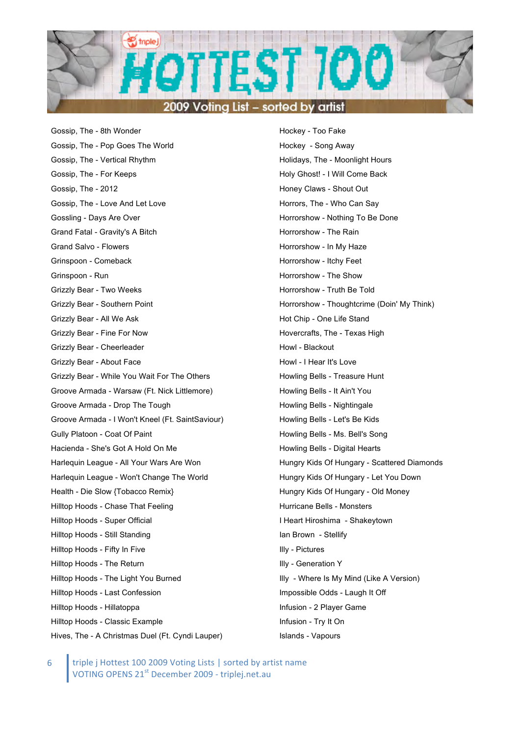

Gossip, The - 8th Wonder Gossip, The - Pop Goes The World Gossip, The - Vertical Rhythm Gossip, The - For Keeps Gossip, The - 2012 Gossip, The - Love And Let Love Gossling - Days Are Over Grand Fatal - Gravity's A Bitch Grand Salvo - Flowers Grinspoon - Comeback Grinspoon - Run Grizzly Bear - Two Weeks Grizzly Bear - Southern Point Grizzly Bear - All We Ask Grizzly Bear - Fine For Now Grizzly Bear - Cheerleader Grizzly Bear - About Face Grizzly Bear - While You Wait For The Others Groove Armada - Warsaw (Ft. Nick Littlemore) Groove Armada - Drop The Tough Groove Armada - I Won't Kneel (Ft. SaintSaviour) Gully Platoon - Coat Of Paint Hacienda - She's Got A Hold On Me Harlequin League - All Your Wars Are Won Harlequin League - Won't Change The World Health - Die Slow {Tobacco Remix} Hilltop Hoods - Chase That Feeling Hilltop Hoods - Super Official Hilltop Hoods - Still Standing Hilltop Hoods - Fifty In Five Hilltop Hoods - The Return Hilltop Hoods - The Light You Burned Hilltop Hoods - Last Confession Hilltop Hoods - Hillatoppa Hilltop Hoods - Classic Example Hives, The - A Christmas Duel (Ft. Cyndi Lauper)

Hockey - Too Fake Hockey - Song Away Holidays, The - Moonlight Hours Holy Ghost! - I Will Come Back Honey Claws - Shout Out Horrors, The - Who Can Say Horrorshow - Nothing To Be Done Horrorshow - The Rain Horrorshow - In My Haze Horrorshow - Itchy Feet Horrorshow - The Show Horrorshow - Truth Be Told Horrorshow - Thoughtcrime (Doin' My Think) Hot Chip - One Life Stand Hovercrafts, The - Texas High Howl - Blackout Howl - I Hear It's Love Howling Bells - Treasure Hunt Howling Bells - It Ain't You Howling Bells - Nightingale Howling Bells - Let's Be Kids Howling Bells - Ms. Bell's Song Howling Bells - Digital Hearts Hungry Kids Of Hungary - Scattered Diamonds Hungry Kids Of Hungary - Let You Down Hungry Kids Of Hungary - Old Money Hurricane Bells - Monsters I Heart Hiroshima - Shakeytown Ian Brown - Stellify Illy - Pictures Illy - Generation Y Illy - Where Is My Mind (Like A Version) Impossible Odds - Laugh It Off Infusion - 2 Player Game Infusion - Try It On Islands - Vapours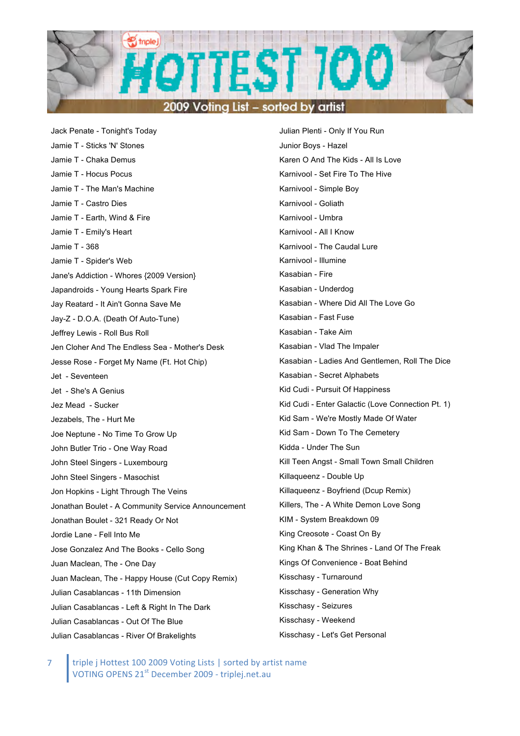

Jack Penate - Tonight's Today Jamie T - Sticks 'N' Stones Jamie T - Chaka Demus Jamie T - Hocus Pocus Jamie T - The Man's Machine Jamie T - Castro Dies Jamie T - Earth, Wind & Fire Jamie T - Emily's Heart Jamie T - 368 Jamie T - Spider's Web Jane's Addiction - Whores {2009 Version} Japandroids - Young Hearts Spark Fire Jay Reatard - It Ain't Gonna Save Me Jay-Z - D.O.A. (Death Of Auto-Tune) Jeffrey Lewis - Roll Bus Roll Jen Cloher And The Endless Sea - Mother's Desk Jesse Rose - Forget My Name (Ft. Hot Chip) Jet - Seventeen Jet - She's A Genius Jez Mead - Sucker Jezabels, The - Hurt Me Joe Neptune - No Time To Grow Up John Butler Trio - One Way Road John Steel Singers - Luxembourg John Steel Singers - Masochist Jon Hopkins - Light Through The Veins Jonathan Boulet - A Community Service Announcement Jonathan Boulet - 321 Ready Or Not Jordie Lane - Fell Into Me Jose Gonzalez And The Books - Cello Song Juan Maclean, The - One Day Juan Maclean, The - Happy House (Cut Copy Remix) Julian Casablancas - 11th Dimension Julian Casablancas - Left & Right In The Dark Julian Casablancas - Out Of The Blue Julian Casablancas - River Of Brakelights

Julian Plenti - Only If You Run Junior Boys - Hazel Karen O And The Kids - All Is Love Karnivool - Set Fire To The Hive Karnivool - Simple Boy Karnivool - Goliath Karnivool - Umbra Karnivool - All I Know Karnivool - The Caudal Lure Karnivool - Illumine Kasabian - Fire Kasabian - Underdog Kasabian - Where Did All The Love Go Kasabian - Fast Fuse Kasabian - Take Aim Kasabian - Vlad The Impaler Kasabian - Ladies And Gentlemen, Roll The Dice Kasabian - Secret Alphabets Kid Cudi - Pursuit Of Happiness Kid Cudi - Enter Galactic (Love Connection Pt. 1) Kid Sam - We're Mostly Made Of Water Kid Sam - Down To The Cemetery Kidda - Under The Sun Kill Teen Angst - Small Town Small Children Killaqueenz - Double Up Killaqueenz - Boyfriend (Dcup Remix) Killers, The - A White Demon Love Song KIM - System Breakdown 09 King Creosote - Coast On By King Khan & The Shrines - Land Of The Freak Kings Of Convenience - Boat Behind Kisschasy - Turnaround Kisschasy - Generation Why Kisschasy - Seizures Kisschasy - Weekend Kisschasy - Let's Get Personal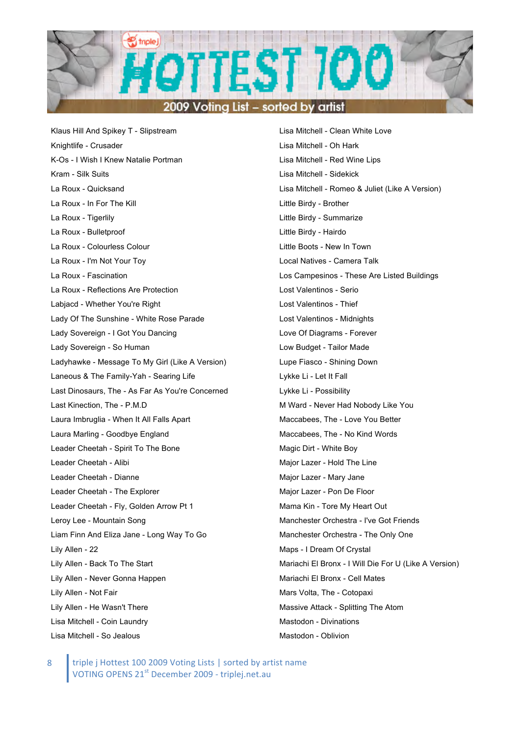

Klaus Hill And Spikey T - Slipstream Knightlife - Crusader K-Os - I Wish I Knew Natalie Portman Kram - Silk Suits La Roux - Quicksand La Roux - In For The Kill La Roux - Tigerlily La Roux - Bulletproof La Roux - Colourless Colour La Roux - I'm Not Your Toy La Roux - Fascination La Roux - Reflections Are Protection Labjacd - Whether You're Right Lady Of The Sunshine - White Rose Parade Lady Sovereign - I Got You Dancing Lady Sovereign - So Human Ladyhawke - Message To My Girl (Like A Version) Laneous & The Family-Yah - Searing Life Last Dinosaurs, The - As Far As You're Concerned Last Kinection, The - P.M.D Laura Imbruglia - When It All Falls Apart Laura Marling - Goodbye England Leader Cheetah - Spirit To The Bone Leader Cheetah - Alibi Leader Cheetah - Dianne Leader Cheetah - The Explorer Leader Cheetah - Fly, Golden Arrow Pt 1 Leroy Lee - Mountain Song Liam Finn And Eliza Jane - Long Way To Go Lily Allen - 22 Lily Allen - Back To The Start Lily Allen - Never Gonna Happen Lily Allen - Not Fair Lily Allen - He Wasn't There Lisa Mitchell - Coin Laundry Lisa Mitchell - So Jealous

Lisa Mitchell - Clean White Love Lisa Mitchell - Oh Hark Lisa Mitchell - Red Wine Lips Lisa Mitchell - Sidekick Lisa Mitchell - Romeo & Juliet (Like A Version) Little Birdy - Brother Little Birdy - Summarize Little Birdy - Hairdo Little Boots - New In Town Local Natives - Camera Talk Los Campesinos - These Are Listed Buildings Lost Valentinos - Serio Lost Valentinos - Thief Lost Valentinos - Midnights Love Of Diagrams - Forever Low Budget - Tailor Made Lupe Fiasco - Shining Down Lykke Li - Let It Fall Lykke Li - Possibility M Ward - Never Had Nobody Like You Maccabees, The - Love You Better Maccabees, The - No Kind Words Magic Dirt - White Boy Major Lazer - Hold The Line Major Lazer - Mary Jane Major Lazer - Pon De Floor Mama Kin - Tore My Heart Out Manchester Orchestra - I've Got Friends Manchester Orchestra - The Only One Maps - I Dream Of Crystal Mariachi El Bronx - I Will Die For U (Like A Version) Mariachi El Bronx - Cell Mates Mars Volta, The - Cotopaxi Massive Attack - Splitting The Atom Mastodon - Divinations Mastodon - Oblivion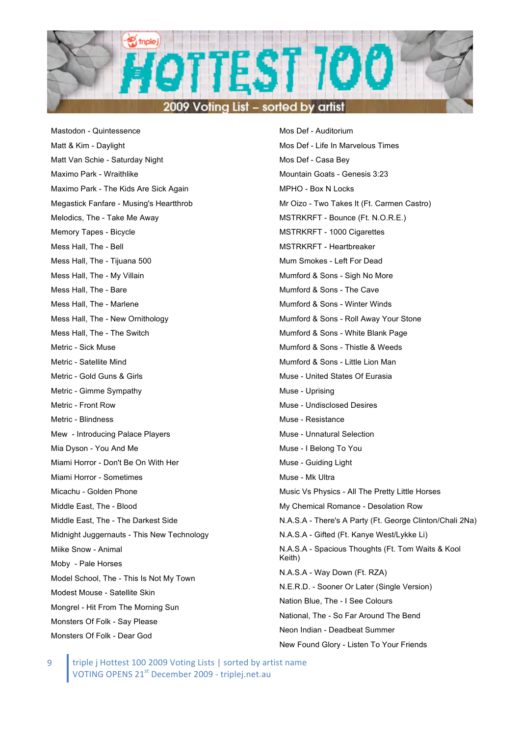

Mastodon - Quintessence Matt & Kim - Daylight Matt Van Schie - Saturday Night Maximo Park - Wraithlike Maximo Park - The Kids Are Sick Again Megastick Fanfare - Musing's Heartthrob Melodics, The - Take Me Away Memory Tapes - Bicycle Mess Hall, The - Bell Mess Hall, The - Tijuana 500 Mess Hall, The - My Villain Mess Hall, The - Bare Mess Hall, The - Marlene Mess Hall, The - New Ornithology Mess Hall, The - The Switch Metric - Sick Muse Metric - Satellite Mind Metric - Gold Guns & Girls Metric - Gimme Sympathy Metric - Front Row Metric - Blindness Mew - Introducing Palace Players Mia Dyson - You And Me Miami Horror - Don't Be On With Her Miami Horror - Sometimes Micachu - Golden Phone Middle East, The - Blood Middle East, The - The Darkest Side Midnight Juggernauts - This New Technology Miike Snow - Animal Moby - Pale Horses Model School, The - This Is Not My Town Modest Mouse - Satellite Skin Mongrel - Hit From The Morning Sun Monsters Of Folk - Say Please Monsters Of Folk - Dear God

Mos Def - Auditorium Mos Def - Life In Marvelous Times Mos Def - Casa Bey Mountain Goats - Genesis 3:23 MPHO - Box N Locks Mr Oizo - Two Takes It (Ft. Carmen Castro) MSTRKRFT - Bounce (Ft. N.O.R.E.) MSTRKRFT - 1000 Cigarettes MSTRKRFT - Heartbreaker Mum Smokes - Left For Dead Mumford & Sons - Sigh No More Mumford & Sons - The Cave Mumford & Sons - Winter Winds Mumford & Sons - Roll Away Your Stone Mumford & Sons - White Blank Page Mumford & Sons - Thistle & Weeds Mumford & Sons - Little Lion Man Muse - United States Of Eurasia Muse - Uprising Muse - Undisclosed Desires Muse - Resistance Muse - Unnatural Selection Muse - I Belong To You Muse - Guiding Light Muse - Mk Ultra Music Vs Physics - All The Pretty Little Horses My Chemical Romance - Desolation Row N.A.S.A - There's A Party (Ft. George Clinton/Chali 2Na) N.A.S.A - Gifted (Ft. Kanye West/Lykke Li) N.A.S.A - Spacious Thoughts (Ft. Tom Waits & Kool Keith) N.A.S.A - Way Down (Ft. RZA) N.E.R.D. - Sooner Or Later (Single Version) Nation Blue, The - I See Colours National, The - So Far Around The Bend Neon Indian - Deadbeat Summer New Found Glory - Listen To Your Friends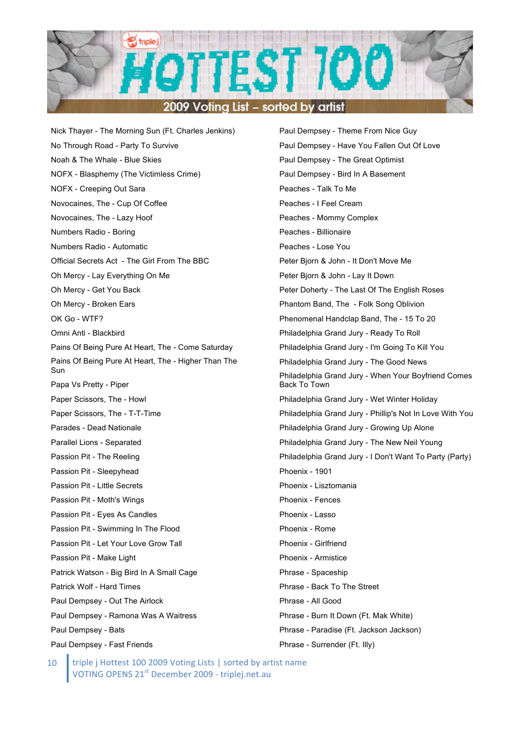

Nick Thayer - The Morning Sun (Ft. Charles Jenkins) No Through Road - Party To Survive Noah & The Whale - Blue Skies NOFX - Blasphemy (The Victimless Crime) NOFX - Creeping Out Sara Novocaines, The - Cup Of Coffee Novocaines, The - Lazy Hoof Numbers Radio - Boring Numbers Radio - Automatic Official Secrets Act - The Girl From The BBC Oh Mercy - Lay Everything On Me Oh Mercy - Get You Back Oh Mercy - Broken Ears OK Go - WTF? Omni Anti - Blackbird Pains Of Being Pure At Heart, The - Come Saturday Pains Of Being Pure At Heart, The - Higher Than The Sun Papa Vs Pretty - Piper Paper Scissors, The - Howl Paper Scissors, The - T-T-Time Parades - Dead Nationale Parallel Lions - Separated Passion Pit - The Reeling Passion Pit - Sleepyhead Passion Pit - Little Secrets Passion Pit - Moth's Wings Passion Pit - Eyes As Candles Passion Pit - Swimming In The Flood Passion Pit - Let Your Love Grow Tall Passion Pit - Make Light Patrick Watson - Big Bird In A Small Cage Patrick Wolf - Hard Times Paul Dempsey - Out The Airlock Paul Dempsey - Ramona Was A Waitress Paul Dempsey - Bats Paul Dempsey - Fast Friends

Paul Dempsey - Theme From Nice Guy Paul Dempsey - Have You Fallen Out Of Love Paul Dempsey - The Great Optimist Paul Dempsey - Bird In A Basement Peaches - Talk To Me Peaches - I Feel Cream Peaches - Mommy Complex Peaches - Billionaire Peaches - Lose You Peter Bjorn & John - It Don't Move Me Peter Bjorn & John - Lay It Down Peter Doherty - The Last Of The English Roses Phantom Band, The - Folk Song Oblivion Phenomenal Handclap Band, The - 15 To 20 Philadelphia Grand Jury - Ready To Roll Philadelphia Grand Jury - I'm Going To Kill You Philadelphia Grand Jury - The Good News Philadelphia Grand Jury - When Your Boyfriend Comes Back To Town Philadelphia Grand Jury - Wet Winter Holiday Philadelphia Grand Jury - Phillip's Not In Love With You Philadelphia Grand Jury - Growing Up Alone Philadelphia Grand Jury - The New Neil Young Philadelphia Grand Jury - I Don't Want To Party (Party) Phoenix - 1901 Phoenix - Lisztomania Phoenix - Fences Phoenix - Lasso Phoenix - Rome Phoenix - Girlfriend Phoenix - Armistice Phrase - Spaceship Phrase - Back To The Street Phrase - All Good Phrase - Burn It Down (Ft. Mak White) Phrase - Paradise (Ft. Jackson Jackson) Phrase - Surrender (Ft. Illy)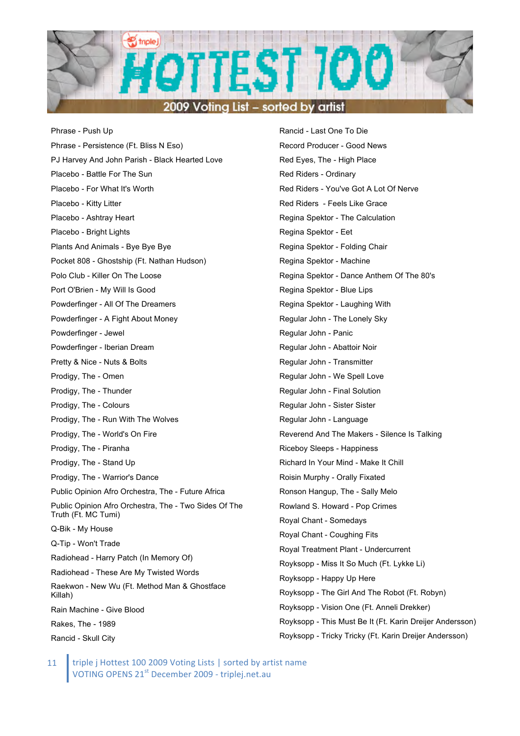

Phrase - Push Up Phrase - Persistence (Ft. Bliss N Eso) PJ Harvey And John Parish - Black Hearted Love Placebo - Battle For The Sun Placebo - For What It's Worth Placebo - Kitty Litter Placebo - Ashtray Heart Placebo - Bright Lights Plants And Animals - Bye Bye Bye Pocket 808 - Ghostship (Ft. Nathan Hudson) Polo Club - Killer On The Loose Port O'Brien - My Will Is Good Powderfinger - All Of The Dreamers Powderfinger - A Fight About Money Powderfinger - Jewel Powderfinger - Iberian Dream Pretty & Nice - Nuts & Bolts Prodigy, The - Omen Prodigy, The - Thunder Prodigy, The - Colours Prodigy, The - Run With The Wolves Prodigy, The - World's On Fire Prodigy, The - Piranha Prodigy, The - Stand Up Prodigy, The - Warrior's Dance Public Opinion Afro Orchestra, The - Future Africa Public Opinion Afro Orchestra, The - Two Sides Of The Truth (Ft. MC Tumi) Q-Bik - My House Q-Tip - Won't Trade Radiohead - Harry Patch (In Memory Of) Radiohead - These Are My Twisted Words Raekwon - New Wu (Ft. Method Man & Ghostface Killah) Rain Machine - Give Blood Rakes, The - 1989 Rancid - Skull City

Rancid - Last One To Die Record Producer - Good News Red Eyes, The - High Place Red Riders - Ordinary Red Riders - You've Got A Lot Of Nerve Red Riders - Feels Like Grace Regina Spektor - The Calculation Regina Spektor - Eet Regina Spektor - Folding Chair Regina Spektor - Machine Regina Spektor - Dance Anthem Of The 80's Regina Spektor - Blue Lips Regina Spektor - Laughing With Regular John - The Lonely Sky Regular John - Panic Regular John - Abattoir Noir Regular John - Transmitter Regular John - We Spell Love Regular John - Final Solution Regular John - Sister Sister Regular John - Language Reverend And The Makers - Silence Is Talking Riceboy Sleeps - Happiness Richard In Your Mind - Make It Chill Roisin Murphy - Orally Fixated Ronson Hangup, The - Sally Melo Rowland S. Howard - Pop Crimes Royal Chant - Somedays Royal Chant - Coughing Fits Royal Treatment Plant - Undercurrent Royksopp - Miss It So Much (Ft. Lykke Li) Royksopp - Happy Up Here Royksopp - The Girl And The Robot (Ft. Robyn) Royksopp - Vision One (Ft. Anneli Drekker) Royksopp - This Must Be It (Ft. Karin Dreijer Andersson) Royksopp - Tricky Tricky (Ft. Karin Dreijer Andersson)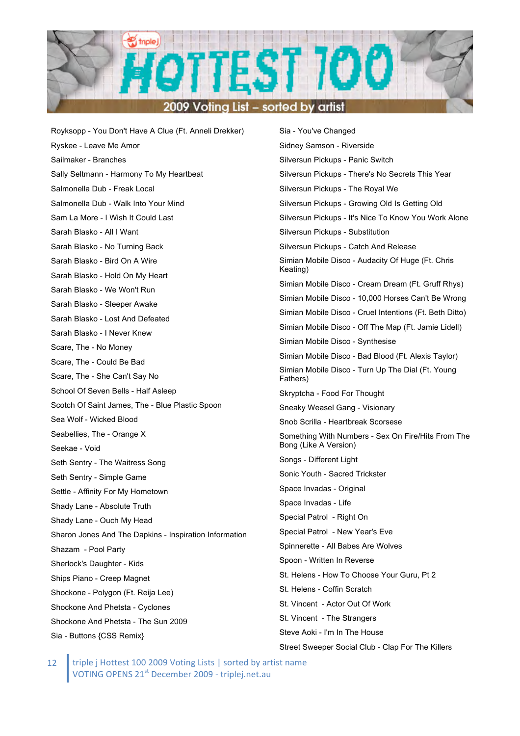

Royksopp - You Don't Have A Clue (Ft. Anneli Drekker) Ryskee - Leave Me Amor Sailmaker - Branches Sally Seltmann - Harmony To My Heartbeat Salmonella Dub - Freak Local Salmonella Dub - Walk Into Your Mind Sam La More - I Wish It Could Last Sarah Blasko - All I Want Sarah Blasko - No Turning Back Sarah Blasko - Bird On A Wire Sarah Blasko - Hold On My Heart Sarah Blasko - We Won't Run Sarah Blasko - Sleeper Awake Sarah Blasko - Lost And Defeated Sarah Blasko - I Never Knew Scare, The - No Money Scare, The - Could Be Bad Scare, The - She Can't Say No School Of Seven Bells - Half Asleep Scotch Of Saint James, The - Blue Plastic Spoon Sea Wolf - Wicked Blood Seabellies, The - Orange X Seekae - Void Seth Sentry - The Waitress Song Seth Sentry - Simple Game Settle - Affinity For My Hometown Shady Lane - Absolute Truth Shady Lane - Ouch My Head Sharon Jones And The Dapkins - Inspiration Information Shazam - Pool Party Sherlock's Daughter - Kids Ships Piano - Creep Magnet Shockone - Polygon (Ft. Reija Lee) Shockone And Phetsta - Cyclones Shockone And Phetsta - The Sun 2009 Sia - Buttons {CSS Remix}

Sia - You've Changed Sidney Samson - Riverside Silversun Pickups - Panic Switch Silversun Pickups - There's No Secrets This Year Silversun Pickups - The Royal We Silversun Pickups - Growing Old Is Getting Old Silversun Pickups - It's Nice To Know You Work Alone Silversun Pickups - Substitution Silversun Pickups - Catch And Release Simian Mobile Disco - Audacity Of Huge (Ft. Chris Keating) Simian Mobile Disco - Cream Dream (Ft. Gruff Rhys) Simian Mobile Disco - 10,000 Horses Can't Be Wrong Simian Mobile Disco - Cruel Intentions (Ft. Beth Ditto) Simian Mobile Disco - Off The Map (Ft. Jamie Lidell) Simian Mobile Disco - Synthesise Simian Mobile Disco - Bad Blood (Ft. Alexis Taylor) Simian Mobile Disco - Turn Up The Dial (Ft. Young Fathers) Skryptcha - Food For Thought Sneaky Weasel Gang - Visionary Snob Scrilla - Heartbreak Scorsese Something With Numbers - Sex On Fire/Hits From The Bong (Like A Version) Songs - Different Light Sonic Youth - Sacred Trickster Space Invadas - Original Space Invadas - Life Special Patrol - Right On Special Patrol - New Year's Eve Spinnerette - All Babes Are Wolves Spoon - Written In Reverse St. Helens - How To Choose Your Guru, Pt 2 St. Helens - Coffin Scratch St. Vincent - Actor Out Of Work St. Vincent - The Strangers Steve Aoki - I'm In The House Street Sweeper Social Club - Clap For The Killers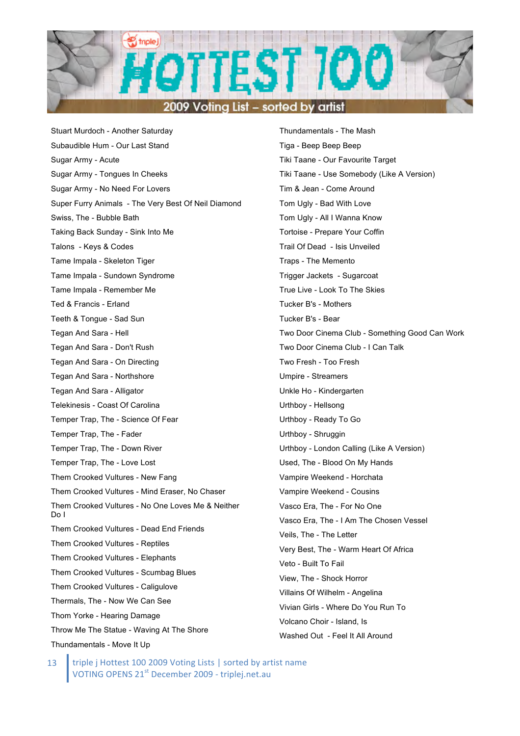

Stuart Murdoch - Another Saturday Subaudible Hum - Our Last Stand Sugar Army - Acute Sugar Army - Tongues In Cheeks Sugar Army - No Need For Lovers Super Furry Animals - The Very Best Of Neil Diamond Swiss, The - Bubble Bath Taking Back Sunday - Sink Into Me Talons - Keys & Codes Tame Impala - Skeleton Tiger Tame Impala - Sundown Syndrome Tame Impala - Remember Me Ted & Francis - Erland Teeth & Tongue - Sad Sun Tegan And Sara - Hell Tegan And Sara - Don't Rush Tegan And Sara - On Directing Tegan And Sara - Northshore Tegan And Sara - Alligator Telekinesis - Coast Of Carolina Temper Trap, The - Science Of Fear Temper Trap, The - Fader Temper Trap, The - Down River Temper Trap, The - Love Lost Them Crooked Vultures - New Fang Them Crooked Vultures - Mind Eraser, No Chaser Them Crooked Vultures - No One Loves Me & Neither Do I Them Crooked Vultures - Dead End Friends Them Crooked Vultures - Reptiles Them Crooked Vultures - Elephants Them Crooked Vultures - Scumbag Blues Them Crooked Vultures - Caligulove Thermals, The - Now We Can See Thom Yorke - Hearing Damage Throw Me The Statue - Waving At The Shore Thundamentals - Move It Up

Thundamentals - The Mash Tiga - Beep Beep Beep Tiki Taane - Our Favourite Target Tiki Taane - Use Somebody (Like A Version) Tim & Jean - Come Around Tom Ugly - Bad With Love Tom Ugly - All I Wanna Know Tortoise - Prepare Your Coffin Trail Of Dead - Isis Unveiled Traps - The Memento Trigger Jackets - Sugarcoat True Live - Look To The Skies Tucker B's - Mothers Tucker B's - Bear Two Door Cinema Club - Something Good Can Work Two Door Cinema Club - I Can Talk Two Fresh - Too Fresh Umpire - Streamers Unkle Ho - Kindergarten Urthboy - Hellsong Urthboy - Ready To Go Urthboy - Shruggin Urthboy - London Calling (Like A Version) Used, The - Blood On My Hands Vampire Weekend - Horchata Vampire Weekend - Cousins Vasco Era, The - For No One Vasco Era, The - I Am The Chosen Vessel Veils, The - The Letter Very Best, The - Warm Heart Of Africa Veto - Built To Fail View, The - Shock Horror Villains Of Wilhelm - Angelina Vivian Girls - Where Do You Run To Volcano Choir - Island, Is Washed Out - Feel It All Around